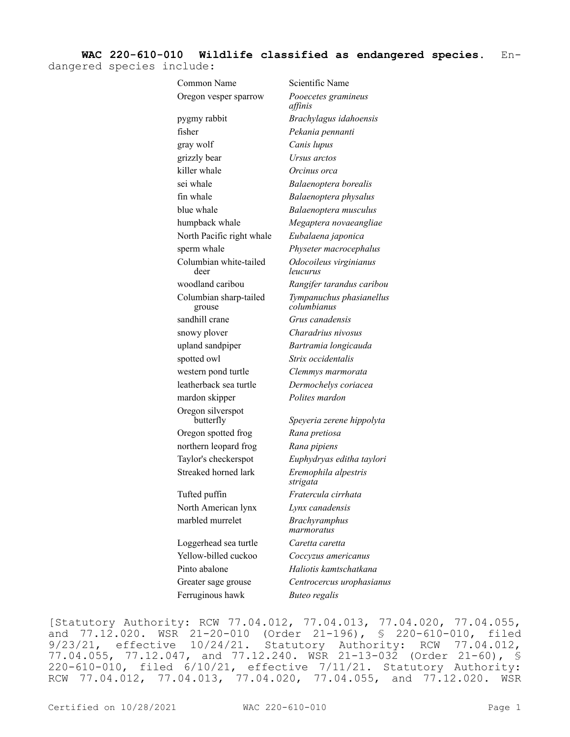## **WAC 220-610-010 Wildlife classified as endangered species.** En-

dangered species include:

| Common Name                      | Scientific Name                         |
|----------------------------------|-----------------------------------------|
| Oregon vesper sparrow            | Pooecetes gramineus<br>affinis          |
| pygmy rabbit                     | Brachylagus idahoensis                  |
| fisher                           | Pekania pennanti                        |
| gray wolf                        | Canis lupus                             |
| grizzly bear                     | Ursus arctos                            |
| killer whale                     | Orcinus orca                            |
| sei whale                        | Balaenoptera borealis                   |
| fin whale                        | Balaenoptera physalus                   |
| blue whale                       | Balaenoptera musculus                   |
| humpback whale                   | Megaptera novaeangliae                  |
| North Pacific right whale        | Eubalaena japonica                      |
| sperm whale                      | Physeter macrocephalus                  |
| Columbian white-tailed<br>deer   | Odocoileus virginianus<br>leucurus      |
| woodland caribou                 | Rangifer tarandus caribou               |
| Columbian sharp-tailed<br>grouse | Tympanuchus phasianellus<br>columbianus |
| sandhill crane                   | Grus canadensis                         |
| snowy plover                     | Charadrius nivosus                      |
| upland sandpiper                 | Bartramia longicauda                    |
| spotted owl                      | Strix occidentalis                      |
| western pond turtle              | Clemmys marmorata                       |
| leatherback sea turtle           | Dermochelys coriacea                    |
| mardon skipper                   | Polites mardon                          |
| Oregon silverspot<br>butterfly   | Speyeria zerene hippolyta               |
| Oregon spotted frog              | Rana pretiosa                           |
| northern leopard frog            | Rana pipiens                            |
| Taylor's checkerspot             | Euphydryas editha taylori               |
| Streaked horned lark             | Eremophila alpestris<br>strigata        |
| Tufted puffin                    | Fratercula cirrhata                     |
| North American lynx              | Lynx canadensis                         |
| marbled murrelet                 | <b>Brachyramphus</b><br>marmoratus      |
| Loggerhead sea turtle            | Caretta caretta                         |
| Yellow-billed cuckoo             | Coccyzus americanus                     |
| Pinto abalone                    | Haliotis kamtschatkana                  |
| Greater sage grouse              | Centrocercus urophasianus               |
| Ferruginous hawk                 | <b>Buteo regalis</b>                    |

[Statutory Authority: RCW 77.04.012, 77.04.013, 77.04.020, 77.04.055, and  $77.12.020$ . WSR  $21-20-010$  (Order  $21-196$ ), § 220-610-010, filed 9/23/21, effective 10/24/21. Statutory Authority: RCW 77.04.012, 77.04.055, 77.12.047, and 77.12.240. WSR 21-13-032 (Order 21-60), § 220-610-010, filed 6/10/21, effective 7/11/21. Statutory Authority: RCW 77.04.012, 77.04.013, 77.04.020, 77.04.055, and 77.12.020. WSR